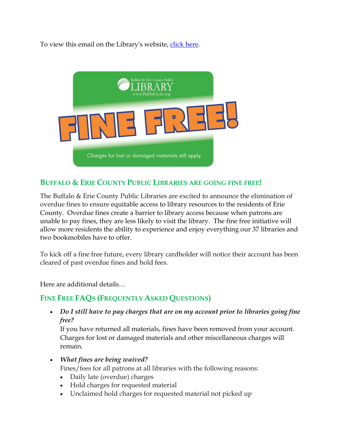To view this email on the Library's website, [click here.](https://ways2give.buffalolib.org/page.redir?target=https%3a%2f%2fwww.buffalolib.org%2fborrower-information%2ffine-free&srcid=8037&srctid=1&erid=8259149&trid=6916f79e-777b-4aee-a871-327beec75776)



#### **BUFFALO & ERIE COUNTY PUBLIC LIBRARIES ARE GOING FINE FREE!**

The Buffalo & Erie County Public Libraries are excited to announce the elimination of overdue fines to ensure equitable access to library resources to the residents of Erie County. Overdue fines create a barrier to library access because when patrons are unable to pay fines, they are less likely to visit the library. The fine free initiative will allow more residents the ability to experience and enjoy everything our 37 libraries and two bookmobiles have to offer.

To kick off a fine free future, every library cardholder will notice their account has been cleared of past overdue fines and hold fees.

Here are additional details…

# **FINE FREE FAQS (FREQUENTLY ASKED QUESTIONS)**

• *Do I still have to pay charges that are on my account prior to libraries going fine free?*

If you have returned all materials, fines have been removed from your account. Charges for lost or damaged materials and other miscellaneous charges will remain.

• *What fines are being waived?*

Fines/fees for all patrons at all libraries with the following reasons:

- Daily late (overdue) charges
- Hold charges for requested material
- Unclaimed hold charges for requested material not picked up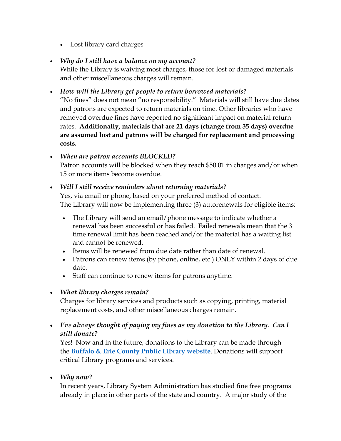• Lost library card charges

### • *Why do I still have a balance on my account?*

While the Library is waiving most charges, those for lost or damaged materials and other miscellaneous charges will remain.

#### • *How will the Library get people to return borrowed materials?*

"No fines" does not mean "no responsibility." Materials will still have due dates and patrons are expected to return materials on time. Other libraries who have removed overdue fines have reported no significant impact on material return rates. **Additionally, materials that are 21 days (change from 35 days) overdue are assumed lost and patrons will be charged for replacement and processing costs.**

#### • *When are patron accounts BLOCKED?* Patron accounts will be blocked when they reach \$50.01 in charges and/or when 15 or more items become overdue.

#### • *Will I still receive reminders about returning materials?*

Yes, via email or phone, based on your preferred method of contact. The Library will now be implementing three (3) autorenewals for eligible items:

- The Library will send an email/phone message to indicate whether a renewal has been successful or has failed. Failed renewals mean that the 3 time renewal limit has been reached and/or the material has a waiting list and cannot be renewed.
- Items will be renewed from due date rather than date of renewal.
- Patrons can renew items (by phone, online, etc.) ONLY within 2 days of due date.
- Staff can continue to renew items for patrons anytime.

# • *What library charges remain?*

Charges for library services and products such as copying, printing, material replacement costs, and other miscellaneous charges remain.

• *I've always thought of paying my fines as my donation to the Library. Can I still donate?*

Yes! Now and in the future, donations to the Library can be made through the **[Buffalo & Erie County Public Library website](https://ways2give.buffalolib.org/page.redir?target=https%3a%2f%2fwww.buffalolib.org%2fdonate&srcid=8037&srctid=1&erid=8259149&trid=6916f79e-777b-4aee-a871-327beec75776)**. Donations will support critical Library programs and services.

• *Why now?* 

In recent years, Library System Administration has studied fine free programs already in place in other parts of the state and country. A major study of the